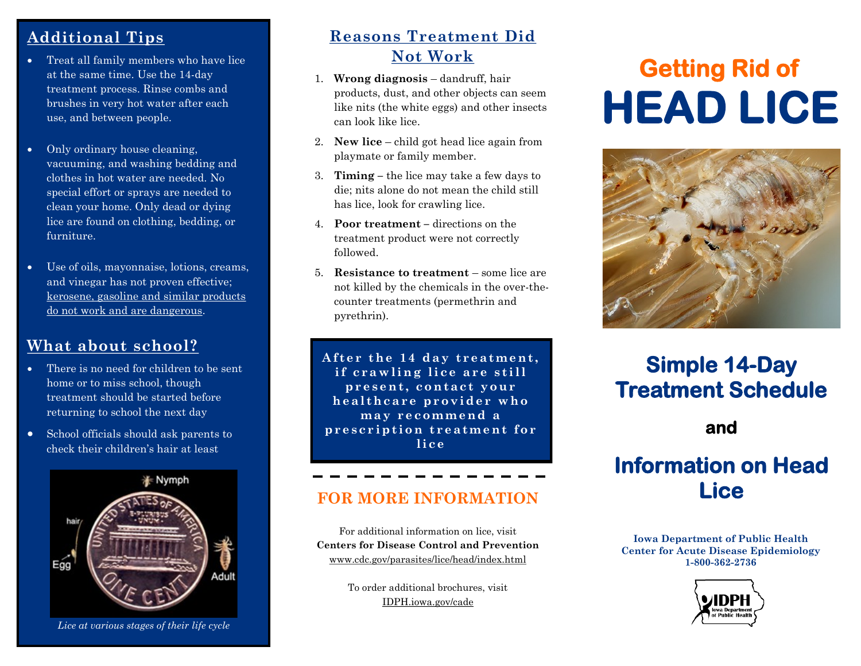## **Additional Tips**

- Treat all family members who have lice at the same time. Use the 14-day treatment process. Rinse combs and brushes in very hot water after each use, and between people.
- Only ordinary house cleaning, vacuuming, and washing bedding and clothes in hot water are needed. No special effort or sprays are needed to clean your home. Only dead or dying lice are found on clothing, bedding, or furniture.
- Use of oils, mayonnaise, lotions, creams, and vinegar has not proven effective; kerosene, gasoline and similar products do not work and are dangerous.

## **What about school?**

- There is no need for children to be sent home or to miss school, though treatment should be started before returning to school the next day
- School officials should ask parents to check their children's hair at least



*Lice at various stages of their life cycle*

## **Reasons Treatment Did Not Work**

- 1. **Wrong diagnosis** dandruff, hair products, dust, and other objects can seem like nits (the white eggs) and other insects can look like lice.
- 2. **New lice** child got head lice again from playmate or family member.
- 3. **Timing –** the lice may take a few days to die; nits alone do not mean the child still has lice, look for crawling lice.
- 4. **Poor treatment –** directions on the treatment product were not correctly followed.
- 5. **Resistance to treatment**  some lice are not killed by the chemicals in the over-thecounter treatments (permethrin and pyrethrin).

After the 14 day treatment, if crawling lice are still **p r e s e n t , c o n t a c t y o u r h e a l t h c a r e p r o v i d e r w h o m a y r e c o m m e n d a**  prescription treatment for **l i c e**

### **FOR MORE INFORMATION**

For additional information on lice, visit **Centers for Disease Control and Prevention** www.cdc.gov/parasites/lice/head/index.html

> To order additional brochures, visit IDPH.iowa.gov/cade

# **Getting Rid of HEAD LICE**



## **Simple 14-Day Treatment Schedule**

## **and**

## **Information on Head Lice**

**Iowa Department of Public Health Center for Acute Disease Epidemiology 1-800-362-2736**